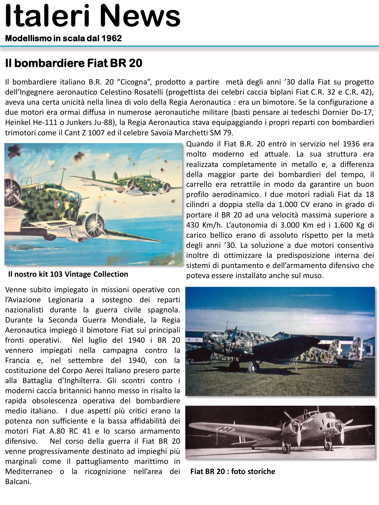# **Italeri News**

**Modellismo in scala dal 1962** 

## **Il bombardiere Fiat BR 20**

Il bombardiere italiano B.R. 20 "Cicogna", prodotto a partire metà degli anni '30 dalla Fiat su progetto dell'Ingegnere aeronautico Celestino Rosatelli (progettista dei celebri caccia biplani Fiat C.R. 32 e C.R. 42), aveva una certa unicità nella linea di volo della Regia Aeronautica : era un bimotore. Se la configurazione a due motori era ormai diffusa in numerose aeronautiche militare (basti pensare ai tedeschi Dornier Do-17, Heinkel He-111 o Junkers Ju-88), la Regia Aeronautica stava equipaggiando i propri reparti con bombardieri trimotori come il Cant Z 1007 ed il celebre Savoia Marchetti SM 79.



**Il nostro kit 103 Vintage Collection**

Venne subito impiegato in missioni operative con l'Aviazione Legionaria a sostegno dei reparti nazionalisti durante la guerra civile spagnola. Durante la Seconda Guerra Mondiale, la Regia Aeronautica impiegò il bimotore Fiat sui principali fronti operativi. Nel luglio del 1940 i BR 20 vennero impiegati nella campagna contro la Francia e, nel settembre del 1940, con la costituzione del Corpo Aerei Italiano presero parte alla Battaglia d'Inghilterra. Gli scontri contro i moderni caccia britannici hanno messo in risalto la rapida obsolescenza operativa del bombardiere medio italiano. I due aspetti più critici erano la potenza non sufficiente e la bassa affidabilità dei motori Fiat A.80 RC 41 e lo scarso armamento difensivo. Nel corso della guerra il Fiat BR 20 venne progressivamente destinato ad impieghi più marginali come il pattugliamento marittimo in Mediterraneo o la ricognizione nell'area dei Balcani.

Quando il Fiat B.R. 20 entrò in servizio nel 1936 era molto moderno ed attuale. La sua struttura era realizzata completamente in metallo e, a differenza della maggior parte dei bombardieri del tempo, il carrello era retrattile in modo da garantire un buon profilo aerodinamico. I due motori radiali Fiat da 18 cilindri a doppia stella da 1.000 CV erano in grado di portare il BR 20 ad una velocità massima superiore a 430 Km/h. L'autonomia di 3.000 Km ed i 1.600 Kg di carico bellico erano di assoluto rispetto per la metà degli anni '30. La soluzione a due motori consentiva inoltre di ottimizzare la predisposizione interna dei sistemi di puntamento e dell'armamento difensivo che poteva essere installato anche sul muso.



**Fiat BR 20 : foto storiche**